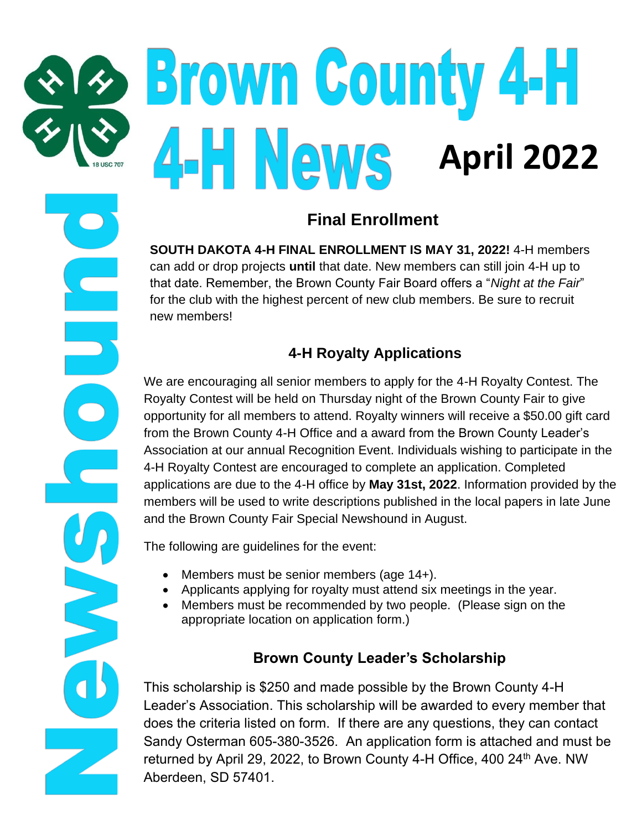# **Brown County 4-H April 2022**

# **Final Enrollment**

**SOUTH DAKOTA 4-H FINAL ENROLLMENT IS MAY 31, 2022!** 4-H members can add or drop projects **until** that date. New members can still join 4-H up to that date. Remember, the Brown County Fair Board offers a "*Night at the Fair*" for the club with the highest percent of new club members. Be sure to recruit new members!

## **4-H Royalty Applications**

We are encouraging all senior members to apply for the 4-H Royalty Contest. The Royalty Contest will be held on Thursday night of the Brown County Fair to give opportunity for all members to attend. Royalty winners will receive a \$50.00 gift card from the Brown County 4-H Office and a award from the Brown County Leader's Association at our annual Recognition Event. Individuals wishing to participate in the 4-H Royalty Contest are encouraged to complete an application. Completed applications are due to the 4-H office by **May 31st, 2022**. Information provided by the members will be used to write descriptions published in the local papers in late June and the Brown County Fair Special Newshound in August.

The following are guidelines for the event:

- Members must be senior members (age 14+).
- Applicants applying for royalty must attend six meetings in the year.
- Members must be recommended by two people. (Please sign on the appropriate location on application form.)

## **Brown County Leader's Scholarship**

This scholarship is \$250 and made possible by the Brown County 4-H Leader's Association. This scholarship will be awarded to every member that does the criteria listed on form. If there are any questions, they can contact Sandy Osterman 605-380-3526. An application form is attached and must be returned by April 29, 2022, to Brown County 4-H Office, 400 24<sup>th</sup> Ave. NW Aberdeen, SD 57401.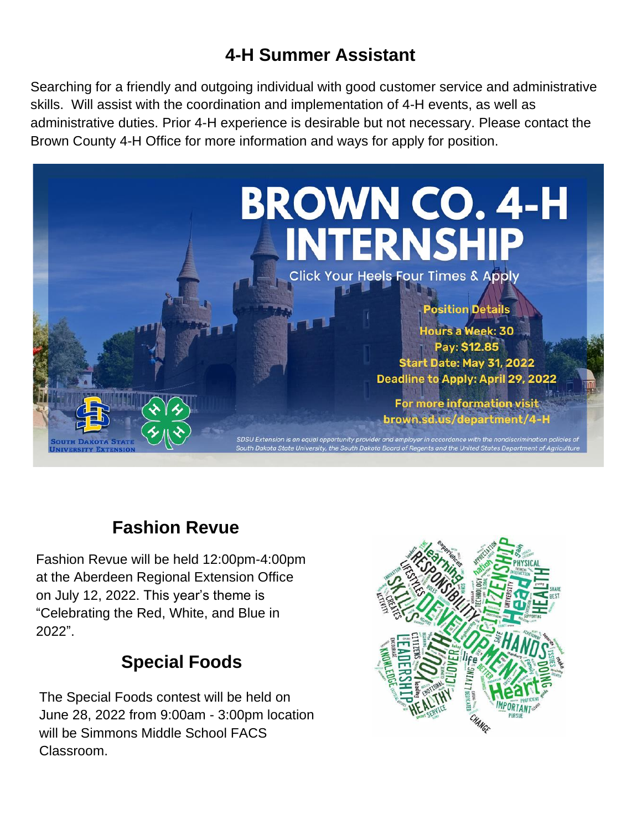# **4-H Summer Assistant**

Searching for a friendly and outgoing individual with good customer service and administrative skills. Will assist with the coordination and implementation of 4-H events, as well as administrative duties. Prior 4-H experience is desirable but not necessary. Please contact the Brown County 4-H Office for more information and ways for apply for position.



# **Fashion Revue**

Fashion Revue will be held 12:00pm-4:00pm at the Aberdeen Regional Extension Office on July 12, 2022. This year's theme is "Celebrating the Red, White, and Blue in 2022".

# **Special Foods**

The Special Foods contest will be held on June 28, 2022 from 9:00am - 3:00pm location will be Simmons Middle School FACS Classroom.

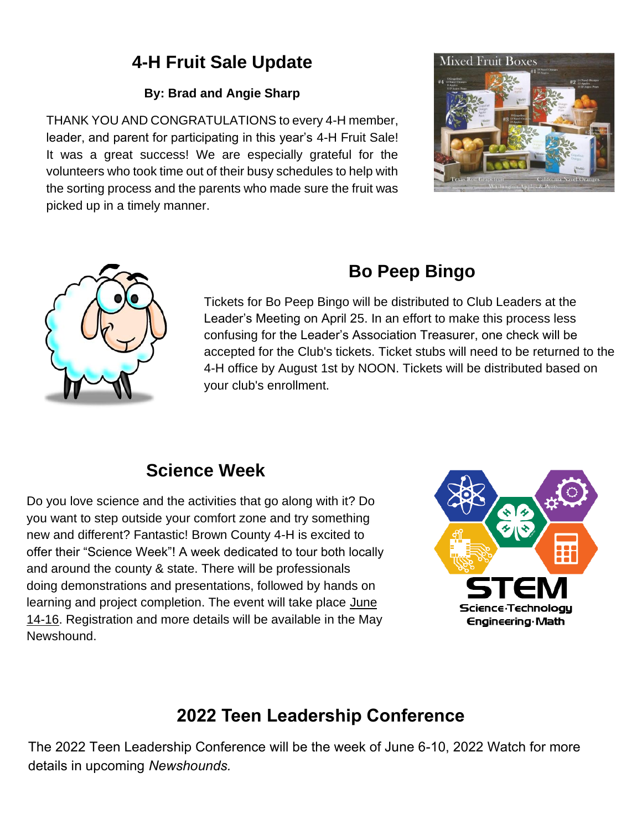# **4-H Fruit Sale Update**

## **By: Brad and Angie Sharp**

THANK YOU AND CONGRATULATIONS to every 4-H member, leader, and parent for participating in this year's 4-H Fruit Sale! It was a great success! We are especially grateful for the volunteers who took time out of their busy schedules to help with the sorting process and the parents who made sure the fruit was picked up in a timely manner.





# **Bo Peep Bingo**

Tickets for Bo Peep Bingo will be distributed to Club Leaders at the Leader's Meeting on April 25. In an effort to make this process less confusing for the Leader's Association Treasurer, one check will be accepted for the Club's tickets. Ticket stubs will need to be returned to the 4-H office by August 1st by NOON. Tickets will be distributed based on your club's enrollment.

# **Science Week**

Do you love science and the activities that go along with it? Do you want to step outside your comfort zone and try something new and different? Fantastic! Brown County 4-H is excited to offer their "Science Week"! A week dedicated to tour both locally and around the county & state. There will be professionals doing demonstrations and presentations, followed by hands on learning and project completion. The event will take place June 14-16. Registration and more details will be available in the May Newshound.



# **2022 Teen Leadership Conference**

The 2022 Teen Leadership Conference will be the week of June 6-10, 2022 Watch for more details in upcoming *Newshounds.*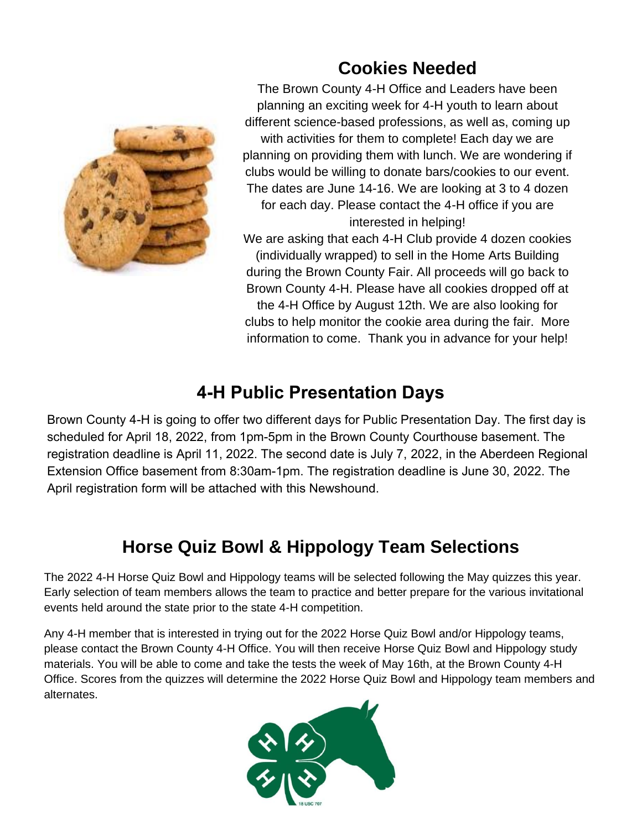

# **Cookies Needed**

The Brown County 4-H Office and Leaders have been planning an exciting week for 4-H youth to learn about different science-based professions, as well as, coming up with activities for them to complete! Each day we are planning on providing them with lunch. We are wondering if clubs would be willing to donate bars/cookies to our event. The dates are June 14-16. We are looking at 3 to 4 dozen for each day. Please contact the 4-H office if you are interested in helping!

We are asking that each 4-H Club provide 4 dozen cookies (individually wrapped) to sell in the Home Arts Building during the Brown County Fair. All proceeds will go back to Brown County 4-H. Please have all cookies dropped off at the 4-H Office by August 12th. We are also looking for clubs to help monitor the cookie area during the fair. More information to come. Thank you in advance for your help!

## **4-H Public Presentation Days**

Brown County 4-H is going to offer two different days for Public Presentation Day. The first day is scheduled for April 18, 2022, from 1pm-5pm in the Brown County Courthouse basement. The registration deadline is April 11, 2022. The second date is July 7, 2022, in the Aberdeen Regional Extension Office basement from 8:30am-1pm. The registration deadline is June 30, 2022. The April registration form will be attached with this Newshound.

# **Horse Quiz Bowl & Hippology Team Selections**

The 2022 4-H Horse Quiz Bowl and Hippology teams will be selected following the May quizzes this year. Early selection of team members allows the team to practice and better prepare for the various invitational events held around the state prior to the state 4-H competition.

Any 4-H member that is interested in trying out for the 2022 Horse Quiz Bowl and/or Hippology teams, please contact the Brown County 4-H Office. You will then receive Horse Quiz Bowl and Hippology study materials. You will be able to come and take the tests the week of May 16th, at the Brown County 4-H Office. Scores from the quizzes will determine the 2022 Horse Quiz Bowl and Hippology team members and alternates.

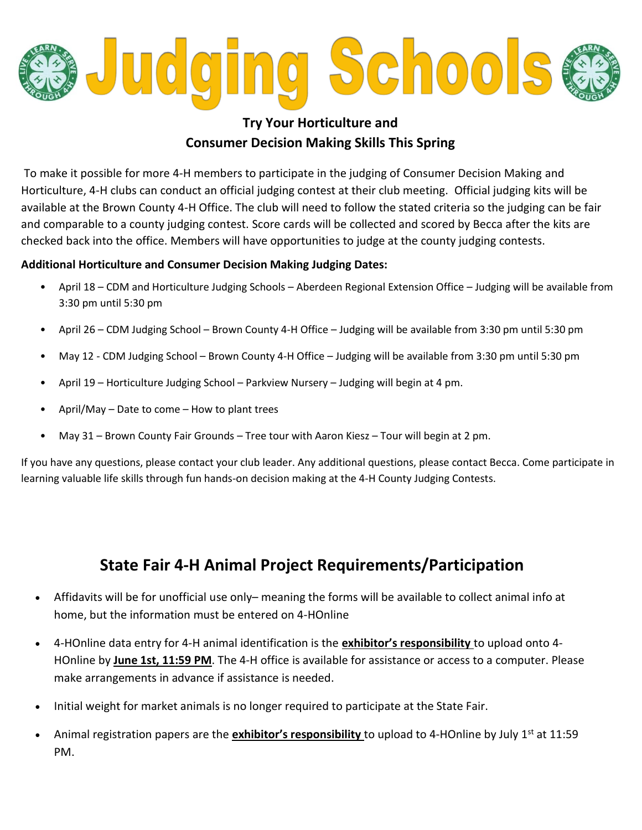

## **Try Your Horticulture and Consumer Decision Making Skills This Spring**

To make it possible for more 4-H members to participate in the judging of Consumer Decision Making and Horticulture, 4-H clubs can conduct an official judging contest at their club meeting. Official judging kits will be available at the Brown County 4-H Office. The club will need to follow the stated criteria so the judging can be fair and comparable to a county judging contest. Score cards will be collected and scored by Becca after the kits are checked back into the office. Members will have opportunities to judge at the county judging contests.

#### **Additional Horticulture and Consumer Decision Making Judging Dates:**

- April 18 CDM and Horticulture Judging Schools Aberdeen Regional Extension Office Judging will be available from 3:30 pm until 5:30 pm
- April 26 CDM Judging School Brown County 4-H Office Judging will be available from 3:30 pm until 5:30 pm
- May 12 CDM Judging School Brown County 4-H Office Judging will be available from 3:30 pm until 5:30 pm
- April 19 Horticulture Judging School Parkview Nursery Judging will begin at 4 pm.
- April/May Date to come How to plant trees
- May 31 Brown County Fair Grounds Tree tour with Aaron Kiesz Tour will begin at 2 pm.

If you have any questions, please contact your club leader. Any additional questions, please contact Becca. Come participate in learning valuable life skills through fun hands-on decision making at the 4-H County Judging Contests.

## **State Fair 4-H Animal Project Requirements/Participation**

- Affidavits will be for unofficial use only– meaning the forms will be available to collect animal info at home, but the information must be entered on 4-HOnline
- 4-HOnline data entry for 4-H animal identification is the **exhibitor's responsibility** to upload onto 4- HOnline by **June 1st, 11:59 PM**. The 4-H office is available for assistance or access to a computer. Please make arrangements in advance if assistance is needed.
- Initial weight for market animals is no longer required to participate at the State Fair.
- Animal registration papers are the **exhibitor's responsibility** to upload to 4-HOnline by July 1st at 11:59 PM.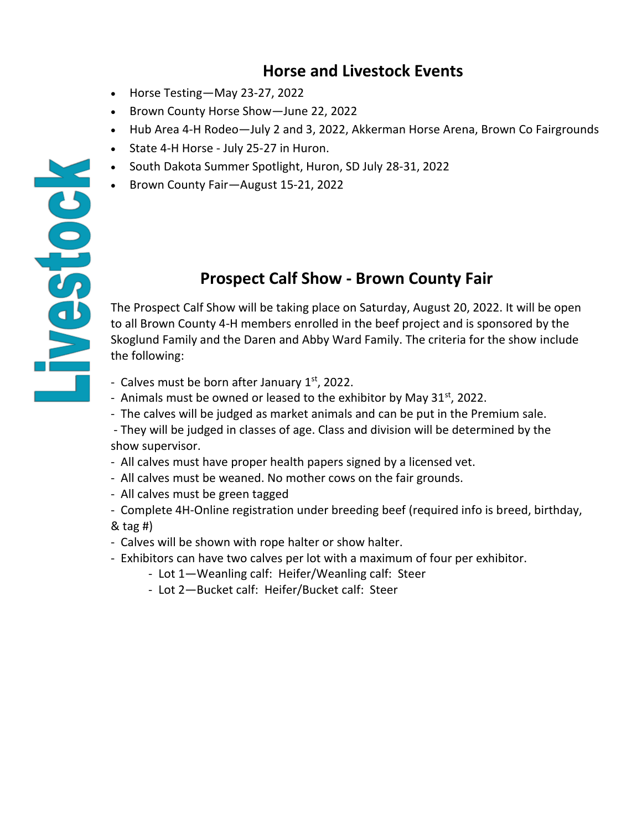## **Horse and Livestock Events**

• Horse Testing—May 23-27, 2022

**POSSENT** 

- Brown County Horse Show—June 22, 2022
- Hub Area 4-H Rodeo—July 2 and 3, 2022, Akkerman Horse Arena, Brown Co Fairgrounds
- State 4-H Horse July 25-27 in Huron.
- South Dakota Summer Spotlight, Huron, SD July 28-31, 2022
- Brown County Fair—August 15-21, 2022

## **Prospect Calf Show - Brown County Fair**

The Prospect Calf Show will be taking place on Saturday, August 20, 2022. It will be open to all Brown County 4-H members enrolled in the beef project and is sponsored by the Skoglund Family and the Daren and Abby Ward Family. The criteria for the show include the following:

- Calves must be born after January  $1<sup>st</sup>$ , 2022.
- Animals must be owned or leased to the exhibitor by May  $31^{st}$ , 2022.
- The calves will be judged as market animals and can be put in the Premium sale.
- They will be judged in classes of age. Class and division will be determined by the show supervisor.
- All calves must have proper health papers signed by a licensed vet.
- All calves must be weaned. No mother cows on the fair grounds.
- All calves must be green tagged
- Complete 4H-Online registration under breeding beef (required info is breed, birthday, & tag #)
- Calves will be shown with rope halter or show halter.
- Exhibitors can have two calves per lot with a maximum of four per exhibitor.
	- Lot 1—Weanling calf: Heifer/Weanling calf: Steer
	- Lot 2—Bucket calf: Heifer/Bucket calf: Steer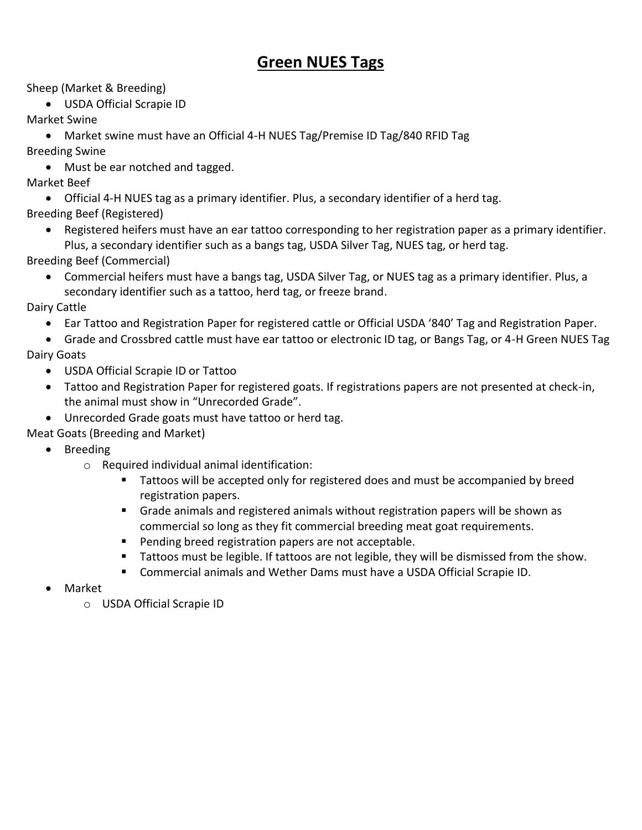## **Green NUES Tags**

Sheep (Market & Breeding)

• USDA Official Scrapie ID

Market Swine

• Market swine must have an Official 4-H NUES Tag/Premise ID Tag/840 RFID Tag Breeding Swine

• Must be ear notched and tagged.

#### Market Beef

• Official 4-H NUES tag as a primary identifier. Plus, a secondary identifier of a herd tag. Breeding Beef (Registered)

• Registered heifers must have an ear tattoo corresponding to her registration paper as a primary identifier. Plus, a secondary identifier such as a bangs tag, USDA Silver Tag, NUES tag, or herd tag.

Breeding Beef (Commercial)

• Commercial heifers must have a bangs tag, USDA Silver Tag, or NUES tag as a primary identifier. Plus, a secondary identifier such as a tattoo, herd tag, or freeze brand.

#### Dairy Cattle

• Ear Tattoo and Registration Paper for registered cattle or Official USDA '840' Tag and Registration Paper.

• Grade and Crossbred cattle must have ear tattoo or electronic ID tag, or Bangs Tag, or 4-H Green NUES Tag Dairy Goats

- USDA Official Scrapie ID or Tattoo
- Tattoo and Registration Paper for registered goats. If registrations papers are not presented at check-in, the animal must show in "Unrecorded Grade".
- Unrecorded Grade goats must have tattoo or herd tag.

Meat Goats (Breeding and Market)

- Breeding
	- o Required individual animal identification:
		- Tattoos will be accepted only for registered does and must be accompanied by breed registration papers.
		- Grade animals and registered animals without registration papers will be shown as commercial so long as they fit commercial breeding meat goat requirements.
		- Pending breed registration papers are not acceptable.
		- Tattoos must be legible. If tattoos are not legible, they will be dismissed from the show.
		- Commercial animals and Wether Dams must have a USDA Official Scrapie ID.
- Market
	- o USDA Official Scrapie ID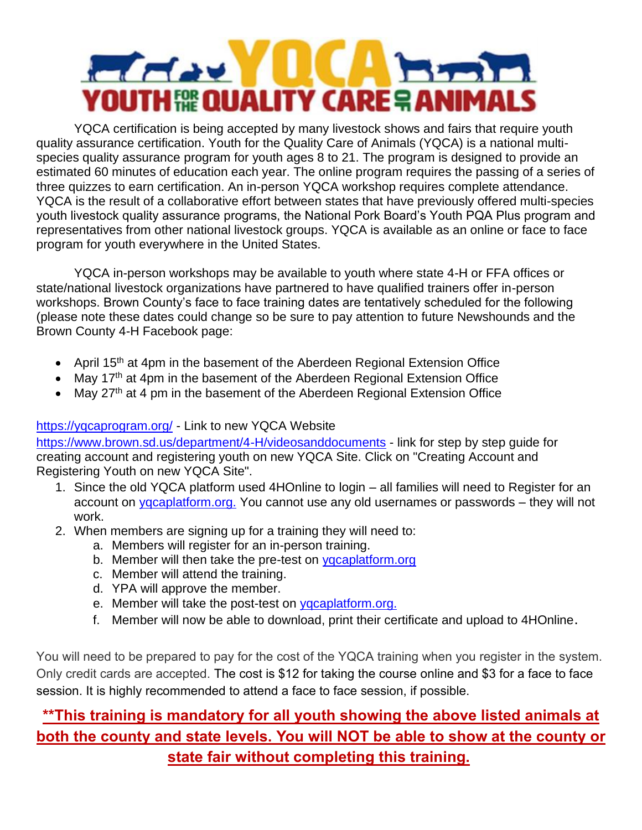# **ELECTRY DCA** Hand **YOUTH RE QUALITY CARE & ANIMALS**

YQCA certification is being accepted by many livestock shows and fairs that require youth quality assurance certification. Youth for the Quality Care of Animals (YQCA) is a national multispecies quality assurance program for youth ages 8 to 21. The program is designed to provide an estimated 60 minutes of education each year. The online program requires the passing of a series of three quizzes to earn certification. An in-person YQCA workshop requires complete attendance. YQCA is the result of a collaborative effort between states that have previously offered multi-species youth livestock quality assurance programs, the National Pork Board's Youth PQA Plus program and representatives from other national livestock groups. YQCA is available as an online or face to face program for youth everywhere in the United States.

YQCA in-person workshops may be available to youth where state 4-H or FFA offices or state/national livestock organizations have partnered to have qualified trainers offer in-person workshops. Brown County's face to face training dates are tentatively scheduled for the following (please note these dates could change so be sure to pay attention to future Newshounds and the Brown County 4-H Facebook page:

- April 15<sup>th</sup> at 4pm in the basement of the Aberdeen Regional Extension Office
- May 17<sup>th</sup> at 4pm in the basement of the Aberdeen Regional Extension Office
- May 27<sup>th</sup> at 4 pm in the basement of the Aberdeen Regional Extension Office

#### [https://yqcaprogram.org/](https://yqcaprogram.org/?fbclid=IwAR1ciADFNHq2Au_p5RzY9vm8vAsh81NIvn0fvr3AGgGfaRI_Qk7TxYuZCWE) - Link to new YQCA Website

[https://www.brown.sd.us/department/4-H/videosanddocuments](https://www.brown.sd.us/department/4-H/videosanddocuments?fbclid=IwAR2tXK5AU1Wwi2Qv0dhs-ATCIl453eDSz_D8Nc0EnEnuDPU39-bBMIC_mQg) - link for step by step guide for creating account and registering youth on new YQCA Site. Click on "Creating Account and Registering Youth on new YQCA Site".

- 1. Since the old YQCA platform used 4HOnline to login all families will need to Register for an account on [yqcaplatform.org.](https://l.facebook.com/l.php?u=http%3A%2F%2Fyqcaplatform.org%2F%3Ffbclid%3DIwAR1qx21x8kvxywFqfQqyhXz9FB9yRYg50ZMTMSUBJkTj_iFmNwRhrIsi8Ng&h=AT1gXr4CCjt0SFOpHflV4Xs111Z9TwTrcRxChH1-HtPwBJ7WpsRWmMqRjzPVswUx7gVwaxqsjgbdECHpdFKbpLKMBJaR1l63_rZpu33YYkVhlrbkpjV0kSKz3aQ1wy-I&__tn__=-UK-R&c%5b0%5d=AT0_soGyLsLvjSuJi8SgD0DR-0mmXzT3SVpGp3kSB-UurgZz58QsUt6ksRLL7mKPDhMUPuBjL0C93Py3yHUV96nuZI3HkBn0vutQA8T-IrwtmIwgeG6zumB4cAYVK3-mwDB7nbOsKbRf4ajPcpnhOp1AO-ALFVeSTMRQ0ZJYpIt6Cw) You cannot use any old usernames or passwords – they will not work.
- 2. When members are signing up for a training they will need to:
	- a. Members will register for an in-person training.
	- b. Member will then take the pre-test on [yqcaplatform.org](http://yqcaplatform.org/?fbclid=IwAR1JInrLuOYsBsbU9f8J3b1jOMS4kQ3toJ0QFj1seZrx9jqXVBEj_OxJtQg)
	- c. Member will attend the training.
	- d. YPA will approve the member.
	- e. Member will take the post-test on [yqcaplatform.org.](https://l.facebook.com/l.php?u=http%3A%2F%2Fyqcaplatform.org%2F%3Ffbclid%3DIwAR0Ih1VNU_Ys6Qij0KO-kvT0FmafVvM1e9qlmaHOheGRfTP14YAO1DMwe9A&h=AT1gXr4CCjt0SFOpHflV4Xs111Z9TwTrcRxChH1-HtPwBJ7WpsRWmMqRjzPVswUx7gVwaxqsjgbdECHpdFKbpLKMBJaR1l63_rZpu33YYkVhlrbkpjV0kSKz3aQ1wy-I&__tn__=-UK-R&c%5b0%5d=AT0_soGyLsLvjSuJi8SgD0DR-0mmXzT3SVpGp3kSB-UurgZz58QsUt6ksRLL7mKPDhMUPuBjL0C93Py3yHUV96nuZI3HkBn0vutQA8T-IrwtmIwgeG6zumB4cAYVK3-mwDB7nbOsKbRf4ajPcpnhOp1AO-ALFVeSTMRQ0ZJYpIt6Cw)
	- f. Member will now be able to download, print their certificate and upload to 4HOnline.

You will need to be prepared to pay for the cost of the YQCA training when you register in the system. Only credit cards are accepted. The cost is \$12 for taking the course online and \$3 for a face to face session. It is highly recommended to attend a face to face session, if possible.

## **\*\*This training is mandatory for all youth showing the above listed animals at both the county and state levels. You will NOT be able to show at the county or state fair without completing this training.**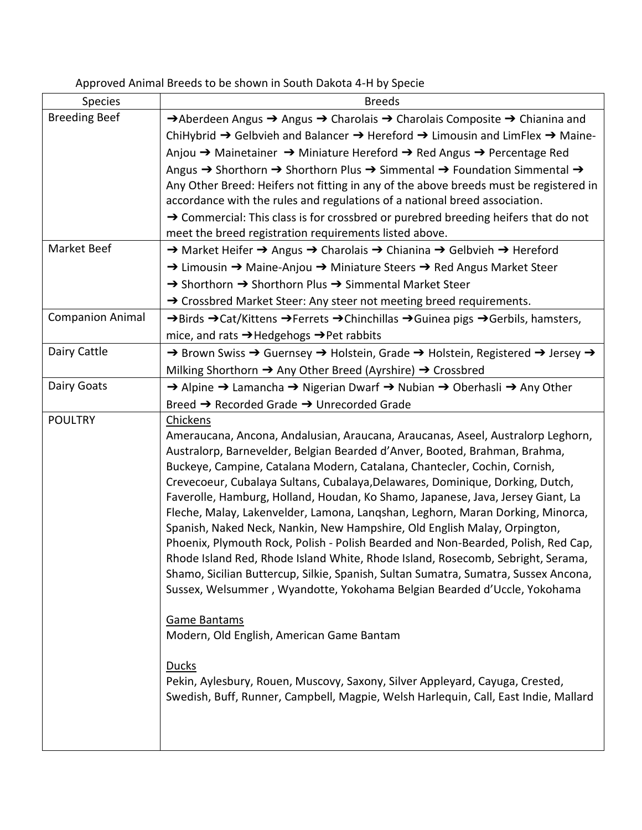## Approved Animal Breeds to be shown in South Dakota 4-H by Specie

| Species                 | <b>Breeds</b>                                                                                                                                                                                                                                                                                                                                                                                                                                                                                                                                                                                                                                                                                                                                                                                                                                                                                                                                                                                                                                                                                                                                                                            |
|-------------------------|------------------------------------------------------------------------------------------------------------------------------------------------------------------------------------------------------------------------------------------------------------------------------------------------------------------------------------------------------------------------------------------------------------------------------------------------------------------------------------------------------------------------------------------------------------------------------------------------------------------------------------------------------------------------------------------------------------------------------------------------------------------------------------------------------------------------------------------------------------------------------------------------------------------------------------------------------------------------------------------------------------------------------------------------------------------------------------------------------------------------------------------------------------------------------------------|
| <b>Breeding Beef</b>    | $\rightarrow$ Aberdeen Angus $\rightarrow$ Angus $\rightarrow$ Charolais $\rightarrow$ Charolais Composite $\rightarrow$ Chianina and                                                                                                                                                                                                                                                                                                                                                                                                                                                                                                                                                                                                                                                                                                                                                                                                                                                                                                                                                                                                                                                    |
|                         | ChiHybrid → Gelbvieh and Balancer → Hereford → Limousin and LimFlex → Maine-                                                                                                                                                                                                                                                                                                                                                                                                                                                                                                                                                                                                                                                                                                                                                                                                                                                                                                                                                                                                                                                                                                             |
|                         | Anjou → Mainetainer → Miniature Hereford → Red Angus → Percentage Red                                                                                                                                                                                                                                                                                                                                                                                                                                                                                                                                                                                                                                                                                                                                                                                                                                                                                                                                                                                                                                                                                                                    |
|                         | Angus $\rightarrow$ Shorthorn $\rightarrow$ Shorthorn Plus $\rightarrow$ Simmental $\rightarrow$ Foundation Simmental $\rightarrow$                                                                                                                                                                                                                                                                                                                                                                                                                                                                                                                                                                                                                                                                                                                                                                                                                                                                                                                                                                                                                                                      |
|                         | Any Other Breed: Heifers not fitting in any of the above breeds must be registered in                                                                                                                                                                                                                                                                                                                                                                                                                                                                                                                                                                                                                                                                                                                                                                                                                                                                                                                                                                                                                                                                                                    |
|                         | accordance with the rules and regulations of a national breed association.                                                                                                                                                                                                                                                                                                                                                                                                                                                                                                                                                                                                                                                                                                                                                                                                                                                                                                                                                                                                                                                                                                               |
|                         | $\rightarrow$ Commercial: This class is for crossbred or purebred breeding heifers that do not                                                                                                                                                                                                                                                                                                                                                                                                                                                                                                                                                                                                                                                                                                                                                                                                                                                                                                                                                                                                                                                                                           |
|                         | meet the breed registration requirements listed above.                                                                                                                                                                                                                                                                                                                                                                                                                                                                                                                                                                                                                                                                                                                                                                                                                                                                                                                                                                                                                                                                                                                                   |
| Market Beef             | → Market Heifer → Angus → Charolais → Chianina → Gelbvieh → Hereford                                                                                                                                                                                                                                                                                                                                                                                                                                                                                                                                                                                                                                                                                                                                                                                                                                                                                                                                                                                                                                                                                                                     |
|                         | → Limousin → Maine-Anjou → Miniature Steers → Red Angus Market Steer                                                                                                                                                                                                                                                                                                                                                                                                                                                                                                                                                                                                                                                                                                                                                                                                                                                                                                                                                                                                                                                                                                                     |
|                         | → Shorthorn → Shorthorn Plus → Simmental Market Steer                                                                                                                                                                                                                                                                                                                                                                                                                                                                                                                                                                                                                                                                                                                                                                                                                                                                                                                                                                                                                                                                                                                                    |
|                         | → Crossbred Market Steer: Any steer not meeting breed requirements.                                                                                                                                                                                                                                                                                                                                                                                                                                                                                                                                                                                                                                                                                                                                                                                                                                                                                                                                                                                                                                                                                                                      |
| <b>Companion Animal</b> | → Birds → Cat/Kittens → Ferrets → Chinchillas → Guinea pigs → Gerbils, hamsters,                                                                                                                                                                                                                                                                                                                                                                                                                                                                                                                                                                                                                                                                                                                                                                                                                                                                                                                                                                                                                                                                                                         |
|                         | mice, and rats $\rightarrow$ Hedgehogs $\rightarrow$ Pet rabbits                                                                                                                                                                                                                                                                                                                                                                                                                                                                                                                                                                                                                                                                                                                                                                                                                                                                                                                                                                                                                                                                                                                         |
| Dairy Cattle            | → Brown Swiss → Guernsey → Holstein, Grade → Holstein, Registered → Jersey →                                                                                                                                                                                                                                                                                                                                                                                                                                                                                                                                                                                                                                                                                                                                                                                                                                                                                                                                                                                                                                                                                                             |
|                         | Milking Shorthorn → Any Other Breed (Ayrshire) → Crossbred                                                                                                                                                                                                                                                                                                                                                                                                                                                                                                                                                                                                                                                                                                                                                                                                                                                                                                                                                                                                                                                                                                                               |
| Dairy Goats             | → Alpine → Lamancha → Nigerian Dwarf → Nubian → Oberhasli → Any Other                                                                                                                                                                                                                                                                                                                                                                                                                                                                                                                                                                                                                                                                                                                                                                                                                                                                                                                                                                                                                                                                                                                    |
|                         | Breed → Recorded Grade → Unrecorded Grade                                                                                                                                                                                                                                                                                                                                                                                                                                                                                                                                                                                                                                                                                                                                                                                                                                                                                                                                                                                                                                                                                                                                                |
| <b>POULTRY</b>          | Chickens<br>Ameraucana, Ancona, Andalusian, Araucana, Araucanas, Aseel, Australorp Leghorn,<br>Australorp, Barnevelder, Belgian Bearded d'Anver, Booted, Brahman, Brahma,<br>Buckeye, Campine, Catalana Modern, Catalana, Chantecler, Cochin, Cornish,<br>Crevecoeur, Cubalaya Sultans, Cubalaya, Delawares, Dominique, Dorking, Dutch,<br>Faverolle, Hamburg, Holland, Houdan, Ko Shamo, Japanese, Java, Jersey Giant, La<br>Fleche, Malay, Lakenvelder, Lamona, Langshan, Leghorn, Maran Dorking, Minorca,<br>Spanish, Naked Neck, Nankin, New Hampshire, Old English Malay, Orpington,<br>Phoenix, Plymouth Rock, Polish - Polish Bearded and Non-Bearded, Polish, Red Cap,<br>Rhode Island Red, Rhode Island White, Rhode Island, Rosecomb, Sebright, Serama,<br>Shamo, Sicilian Buttercup, Silkie, Spanish, Sultan Sumatra, Sumatra, Sussex Ancona,<br>Sussex, Welsummer, Wyandotte, Yokohama Belgian Bearded d'Uccle, Yokohama<br>Game Bantams<br>Modern, Old English, American Game Bantam<br><b>Ducks</b><br>Pekin, Aylesbury, Rouen, Muscovy, Saxony, Silver Appleyard, Cayuga, Crested,<br>Swedish, Buff, Runner, Campbell, Magpie, Welsh Harlequin, Call, East Indie, Mallard |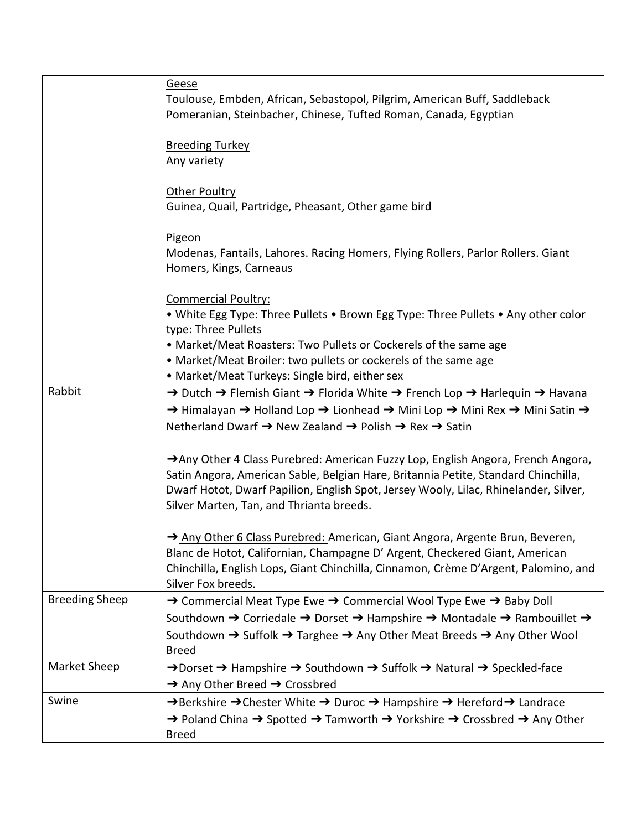|                       | <u>Geese</u><br>Toulouse, Embden, African, Sebastopol, Pilgrim, American Buff, Saddleback<br>Pomeranian, Steinbacher, Chinese, Tufted Roman, Canada, Egyptian                                                                                                                                                    |
|-----------------------|------------------------------------------------------------------------------------------------------------------------------------------------------------------------------------------------------------------------------------------------------------------------------------------------------------------|
|                       | <b>Breeding Turkey</b><br>Any variety                                                                                                                                                                                                                                                                            |
|                       | Other Poultry<br>Guinea, Quail, Partridge, Pheasant, Other game bird                                                                                                                                                                                                                                             |
|                       | <b>Pigeon</b><br>Modenas, Fantails, Lahores. Racing Homers, Flying Rollers, Parlor Rollers. Giant<br>Homers, Kings, Carneaus                                                                                                                                                                                     |
|                       | <b>Commercial Poultry:</b><br>• White Egg Type: Three Pullets • Brown Egg Type: Three Pullets • Any other color<br>type: Three Pullets                                                                                                                                                                           |
|                       | • Market/Meat Roasters: Two Pullets or Cockerels of the same age<br>• Market/Meat Broiler: two pullets or cockerels of the same age<br>• Market/Meat Turkeys: Single bird, either sex                                                                                                                            |
| Rabbit                | → Dutch → Flemish Giant → Florida White → French Lop → Harlequin → Havana<br>→ Himalayan → Holland Lop → Lionhead → Mini Lop → Mini Rex → Mini Satin →<br>Netherland Dwarf → New Zealand → Polish → Rex → Satin                                                                                                  |
|                       | Any Other 4 Class Purebred: American Fuzzy Lop, English Angora, French Angora,<br>Satin Angora, American Sable, Belgian Hare, Britannia Petite, Standard Chinchilla,<br>Dwarf Hotot, Dwarf Papilion, English Spot, Jersey Wooly, Lilac, Rhinelander, Silver,<br>Silver Marten, Tan, and Thrianta breeds.         |
|                       | → Any Other 6 Class Purebred: American, Giant Angora, Argente Brun, Beveren,<br>Blanc de Hotot, Californian, Champagne D' Argent, Checkered Giant, American<br>Chinchilla, English Lops, Giant Chinchilla, Cinnamon, Crème D'Argent, Palomino, and<br>Silver Fox breeds.                                         |
| <b>Breeding Sheep</b> | → Commercial Meat Type Ewe → Commercial Wool Type Ewe → Baby Doll<br>Southdown → Corriedale → Dorset → Hampshire → Montadale → Rambouillet →                                                                                                                                                                     |
|                       | Southdown $\rightarrow$ Suffolk $\rightarrow$ Targhee $\rightarrow$ Any Other Meat Breeds $\rightarrow$ Any Other Wool<br><b>Breed</b>                                                                                                                                                                           |
| Market Sheep          | → Dorset → Hampshire → Southdown → Suffolk → Natural → Speckled-face<br>→ Any Other Breed → Crossbred                                                                                                                                                                                                            |
| Swine                 | $\rightarrow$ Berkshire $\rightarrow$ Chester White $\rightarrow$ Duroc $\rightarrow$ Hampshire $\rightarrow$ Hereford $\rightarrow$ Landrace<br>$\rightarrow$ Poland China $\rightarrow$ Spotted $\rightarrow$ Tamworth $\rightarrow$ Yorkshire $\rightarrow$ Crossbred $\rightarrow$ Any Other<br><b>Breed</b> |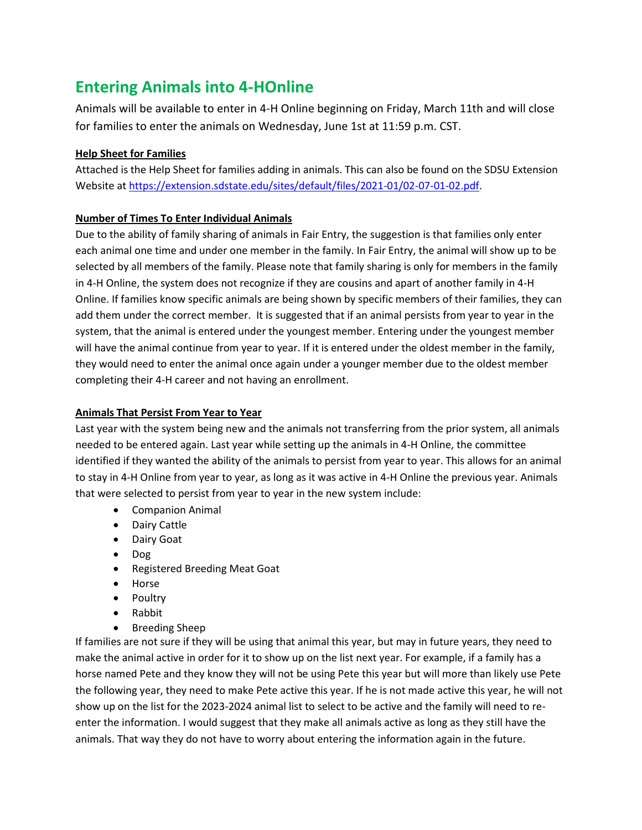## **Entering Animals into 4-HOnline**

Animals will be available to enter in 4-H Online beginning on Friday, March 11th and will close for families to enter the animals on Wednesday, June 1st at 11:59 p.m. CST.

#### **Help Sheet for Families**

Attached is the Help Sheet for families adding in animals. This can also be found on the SDSU Extension Website at [https://extension.sdstate.edu/sites/default/files/2021-01/02-07-01-02.pdf.](https://extension.sdstate.edu/sites/default/files/2021-01/02-07-01-02.pdf)

#### **Number of Times To Enter Individual Animals**

Due to the ability of family sharing of animals in Fair Entry, the suggestion is that families only enter each animal one time and under one member in the family. In Fair Entry, the animal will show up to be selected by all members of the family. Please note that family sharing is only for members in the family in 4-H Online, the system does not recognize if they are cousins and apart of another family in 4-H Online. If families know specific animals are being shown by specific members of their families, they can add them under the correct member. It is suggested that if an animal persists from year to year in the system, that the animal is entered under the youngest member. Entering under the youngest member will have the animal continue from year to year. If it is entered under the oldest member in the family, they would need to enter the animal once again under a younger member due to the oldest member completing their 4-H career and not having an enrollment.

#### **Animals That Persist From Year to Year**

Last year with the system being new and the animals not transferring from the prior system, all animals needed to be entered again. Last year while setting up the animals in 4-H Online, the committee identified if they wanted the ability of the animals to persist from year to year. This allows for an animal to stay in 4-H Online from year to year, as long as it was active in 4-H Online the previous year. Animals that were selected to persist from year to year in the new system include:

- Companion Animal
- Dairy Cattle
- Dairy Goat
- Dog
- Registered Breeding Meat Goat
- Horse
- Poultry
- Rabbit
- Breeding Sheep

If families are not sure if they will be using that animal this year, but may in future years, they need to make the animal active in order for it to show up on the list next year. For example, if a family has a horse named Pete and they know they will not be using Pete this year but will more than likely use Pete the following year, they need to make Pete active this year. If he is not made active this year, he will not show up on the list for the 2023-2024 animal list to select to be active and the family will need to reenter the information. I would suggest that they make all animals active as long as they still have the animals. That way they do not have to worry about entering the information again in the future.